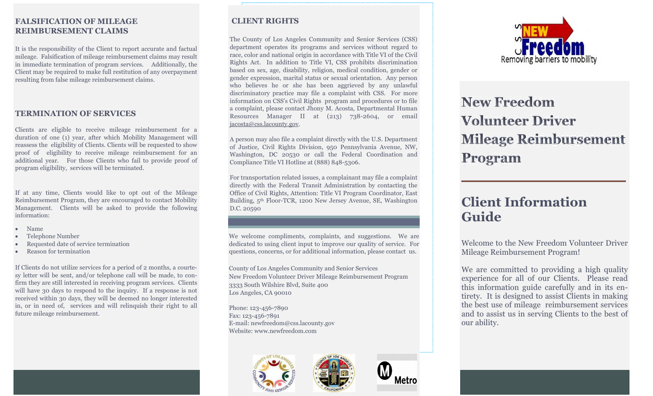## **FALSIFICATION OF MILEAGE REIMBURSEMENT CLAIMS**

It is the responsibility of the Client to report accurate and factual mileage. Falsification of mileage reimbursement claims may result in immediate termination of program services. Additionally, the Client may be required to make full restitution of any overpayment resulting from false mileage reimbursement claims.

### **TERMINATION OF SERVICES**

Clients are eligible to receive mileage reimbursement for a duration of one (1) year, after which Mobility Management will reassess the eligibility of Clients. Clients will be requested to show proof of eligibility to receive mileage reimbursement for an additional year. For those Clients who fail to provide proof of program eligibility, services will be terminated.

If at any time, Clients would like to opt out of the Mileage Reimbursement Program, they are encouraged to contact Mobility Management. Clients will be asked to provide the following information:

- Name
- Telephone Number
- Requested date of service termination
- Reason for termination

If Clients do not utilize services for a period of 2 months, a courtesy letter will be sent, and/or telephone call will be made, to confirm they are still interested in receiving program services. Clients will have 30 days to respond to the inquiry. If a response is not received within 30 days, they will be deemed no longer interested in, or in need of, services and will relinquish their right to all future mileage reimbursement.

# **CLIENT RIGHTS**

The County of Los Angeles Community and Senior Services (CSS) department operates its programs and services without regard to race, color and national origin in accordance with Title VI of the Civil Rights Act. In addition to Title VI, CSS prohibits discrimination based on sex, age, disability, religion, medical condition, gender or gender expression, marital status or sexual orientation. Any person who believes he or she has been aggrieved by any unlawful discriminatory practice may file a complaint with CSS. For more information on CSS's Civil Rights program and procedures or to file a complaint, please contact Jhony M. Acosta, Departmental Human Resources Manager II at (213) 738-2604, or email jacosta@css.lacounty.gov.

A person may also file a complaint directly with the U.S. Department of Justice, Civil Rights Division, 950 Pennsylvania Avenue, NW, Washington, DC 20530 or call the Federal Coordination and Compliance Title VI Hotline at (888) 848-5306.

For transportation related issues, a complainant may file a complaint directly with the Federal Transit Administration by contacting the Office of Civil Rights, Attention: Title VI Program Coordinator, East Building, 5th Floor-TCR, 1200 New Jersey Avenue, SE, Washington D.C. 20590

We welcome compliments, complaints, and suggestions. We are dedicated to using client input to improve our quality of service. For questions, concerns, or for additional information, please contact us.

County of Los Angeles Community and Senior Services New Freedom Volunteer Driver Mileage Reimbursement Program 3333 South Wilshire Blvd, Suite 400 Los Angeles, CA 90010

Phone: 123-456-7890 Fax: 123-456-7891 E-mail: newfreedom@css.lacounty.gov Website: www.newfreedom.com









# **New Freedom Volunteer Driver Mileage Reimbursement** Program

# **Client Information Guide**

Welcome to the New Freedom Volunteer Driver Mileage Reimbursement Program!

We are committed to providing a high quality experience for all of our Clients. Please read this information guide carefully and in its entirety. It is designed to assist Clients in making the best use of mileage reimbursement services and to assist us in serving Clients to the best of our ability.